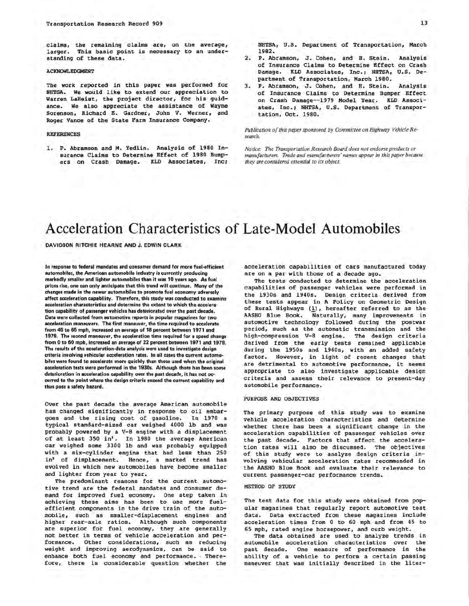claims, the remaining claims are, on the average, larger. This basic point is necessary to an understanding of these data.

#### ACKNOWLEDGMENT

The work reported in this paper was performed for NHTSA. We would like to extend our appreciation to Warren LaHeist, the project director, for his guidance. We also appreciate the assistance of Wayne Sorenson, Richard E. Gardner, John V. Werner, and Roger Vance of the State Farm Insurance Company.

#### REFERENCES

1. P. Abramson and M. Yedlin. Analysis of 1980 Insurance Claims to Determine Effect of 1980 Bumpers on Crash Damage. KLD Associates, Inc; NHTSA, U.S. Department of Transportation, March 1982.

- 2. P. Abramson, J. Cohen, and H. Stein. Analysis of Insurance Claims to Determine Effect on Crash Damage. KLD Associates, Inc.; NHTSA, U.S. Department of Transportation, March 1980.
- 3. P. Abramson, J. Cohen, and H. Stein. Analysis of Insurance Claims to Determine Bumper Effect on Crash Damage--1979 Model Year. KLD Associates, Inc.; NHTSA, U.S. Department of Transportation, Oct. 1980.

*Publication of this paper sponsored by Committee on Highway Vehicle Research.* 

*Notice: The Transportation Research Board does not endorse products or manufacturers. Trade and manufacturers' names appear in this paper because they are considered essential to its object.* 

# Acceleration Characteristics of Late-Model Automobiles

#### **DAVIDSON RITCHIE HEARNE AND J. EDWIN CLARK**

**In response to federal mandates and consumer demand for more fuel-efficient automobiles, the American automobile Industry is currently producing markedly smaller and lighter automobiles than it was 10 years ago. As fuel prices rise, one can only anticipate that this trend will continue. Many of the changes made in the newer automobiles to promote fuel economy adversely affect acceleration capability. Therefore, this study was conducted to examine acceleration characteristics and determine the extent to which the acceleration capability of passenger vehicles has deteriorated over the past decade. Data were collected from automotive reports in popular magazines for two acceleration maneuvers. The first maneuver, the time required to accelerate from 45 to 65 mph, increased an average of 18 percent between 1971 and 1979. The second maneuver, the acceleration time required for a speed change from Oto 60 mph, increased an average of 22 percent between 1971 and 1979. The results of the acceleration-data analysis were used to investigate design criteria involving vehicular acceleration rates. In all cases the current automobiles were found to accelerate more quickly than those used when the original acceleration tests were performed** in **the 1930s. Although there has been some**  deterioration in acceleration capability over the past decade, it has not oc**curred to the point where the design criteria exceed the current capability and**  thus **pose a** safety hazard.

Over the past decade the average American automobile has changed significantly in response to oil embargoes and the rising cost of gasoline. In 1970 a typical standard-sized car weighed 4000 lb and was probably powered by a V-B engine with a displacement of at least 350 in'. In 1980 the average American car weighed some 3300 lb and was probably equipped with a six-cylinder engine that had less than 250 in' of displacement. Hence, a marked trend has evolved in which new automobiles have become smaller and lighter from year to year.

The predominant reasons for the current automotive trend are the federal mandates and consumer demand for improved fuel economy. One step taken in achieving these aims has been to use more fuelefficient components in the drive train of the automobile, such as smaller-displacement engines and higher rear-axle ratios. Although such components are superior for fuel economy, they are generally not better in terms of vehicle acceleration and performance. Other considerations, such as reducing weight and improving aerodynamics, can be said to enhance both fuel economy and performance. . Therefore, there is considerable question whether the

acceleration capabilities of cars manufactured today are on a par with those of a decade ago.

The tests conducted to determine the acceleration capabilities of passenger vehicles were performed in the 1930s and 1940s. Design criteria derived from these tests appear in A Policy on Geometric Design of Rural Highways (1), hereafter referred to as the<br>AASHO Blue Book. Naturally, many improvements in Naturally, many improvements in automotive technology followed during the postwar period, such as the automatic transmission and the high-compression V-8 engine. The design criteria derived from the early tests remained applicable during the 1950s and 1960s, with an added safety factor. However, in light of recent changes that are detrimental to automotive performance, it seems appropriate to also investigate applicable design criteria and assess their relevance to present-day automobile performance.

#### PURPOSE AND OBJECTIVES

The primary purpose of this study was to examine vehicle acceleration characteristics and determine whether there has been a significant change in the acceleration capabilities of passenger vehicles over the past decade. Factors that affect the acceleration rates will also be discussed. The objectives of this study were to analyze design criteria involving vehicular acceleration rates recommended in the AASHO Blue Book and evaluate their relevance to current passenger-car performance trends.

#### METHOD OF STUDY

The test data for this study **were** obtained from pop**ular** magazines that regularly report automotive test data. Data extracted from these magazines include acceleration times from O to 60 mph and from 45 to 65 mph, rated engine horsepower, and curb weight.

The data obtained are used to analyze trends in automobile acceleration characteristics over the past decade. One measure of performance is the ability of a vehicle to perform a certain passing maneuver that was initially described in the liter-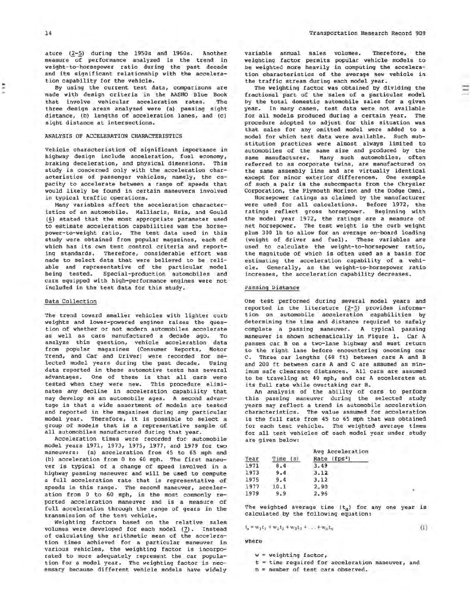ature (2-5) during the 1950s and 1960s. Another measure of performance analyzed is the trend in weight-to-horsepower ratio during the past decade and its significant relationship with the acceleration capability for the vehicle.

By using the current test data, comparisons are made with design criteria in the AASHO Blue Book<br>that involve vehicular acceleration rates. The that involve vehicular acceleration rates. three design areas analyzed were (a) passing sight distance, (b) lengths of acceleration lanes, and (c) sight distance at intersections.

#### ANALYSIS OF ACCELERATION CHARACTERISTICS

Vehicle characteristics of significant importance in highway design include acceleration, fuel economy, braking deceleration, and physical dimensions. This study is concerned only with the acceleration characteristics of passenger vehicles, namely, the capacity to accelerate between a range of speeds that would likely be found in certain maneuvers involved in typical traffic operations.

Many variables affect the acceleration characteristics of an automobile. Malliaris, Hsia, and Gould (\_§.) stated that the most appropriate parameter used to estimate acceleration capabilities was the horsepower-to-weight ratio. The test data used in this study were obtained from popular magazines, each of which has its own test control criteria and reporting standards. Therefore, considerable effort was made to select data that were believed to be reliable and representative of the particular model being tested. Special-production automobiles and cars equipped with high-performance engines were not included in the test data for this study.

#### Data Collection

The trend toward smaller vehicles with lighter curb weights and lower-powered engines raises the question of whether or not modern automobiles accelerate as well as cars manufactured a decade ago. To analyze this question, vehicle acceleration data from popular magazines (Consumer Reports, Motor Trend, and Car and Driver) were recorded for selected model years during the past decade. Using data reported in these automotive tests has several advantages. One of these is that all cars were tested when they were new. This procedure eliminates any decline in acceleration capability that may develop as an automobile ages. A second advantage is that a wide assortment of models are tested and reported in the magazines during any particular model year. Therefore, it is possible to select a group of models that is a representative sample of all automobiles manufactured during that year.

Acceleration times were recorded for automobile model years 1971, 1973, 1975, 1977, and 1979 for two maneuvers: (a) acceleration from 45 to 65 mph and (b) acceleration from 0 to 60 mph. The first maneuver is typical of a change of speed involved in a highway passing maneuver and will be used to compute a full acceleration rate that is representative of speeds in this range. The second maneuver, acceleration from O to 60 mph, is the most commonly reported acceleration maneuver and is a measure of full acceleration through the range of gears in the transmission of the test vehicle.

Weighting factors based on the relative sales volumes were developed for each model (7). Instead of calculating the arithmetic mean of the acceleration times achieved for a particular maneuver in various vehicles, the weighting factor is incorporated to more adequately represent the car population for a model year. The weighting factor is necessary because different vehicle models have widely

variable annual sales volumes. Therefore, the weighting factor permits popular vehicle models to be weighted more heavily in computing the acceleration characteristics of the average new vehicle in the traffic stream during each model year.

The weighting factor was obtained by dividing the fractional part of the sales of a particular model by the total domestic automobile sales for a given year. In many cases, test data were not available for all models produced during a certain year. The procedure adopted to adjust for this situation was that sales for any omitted model were added to a model for which test data were available. Such substitution practices were almost always limited to automobiles of the same size and produced by the same manufacturer. Many such automobiles, often referred to as corporate twins, are manufactured on the same assembly line and are virtually identical except for minor exterior differences. One example of such a pair is the subcompacts from the Chrysler Corporation, the Plymouth Horizon and the Dodge Omni.

Horsepower ratings as claimed by the manufacturer were used for all calculations. Before 1972, the ratings reflect gross horsepower. Beginning with the model year 1972, the ratings are a measure of net horsepower. The test weight is the curb weight plus 300 lb to allow for an average on-board loading (weight of driver and fuel). These variables are used to calculate the weight-to-horsepower ratio, the magnitude of which is often used **as a** basis for estimating the acceleration capability of a vehicle. Generally, as the weight-to-horsepower ratio increases, the acceleration capability decreases.

### Passing Distance

One test performed during several model years and reported in the literature (2-5) provides information on automobile acceleration capabilities by determining the time and distance required to safely complete a passing maneuver. A typical passing maneuver is shown schematically in Figure 1. Car A passes car B on a two-lane highway and must return to the right lane before encountering oncoming car C. Three car lengths ( 60 ft) between cars **A** and B and 200 ft between cars A and C are assumed as minimum safe clearance distances. All cars are assumed to be traveling at 40 mph, and car A accelerates at its full rate while overtaking car B.

An analysis of the ability of cars to perform this passing maneuver during the selected study years may reflect a trend in automobile acceleration characteristics. The value assumed for acceleration is the full rate from 45 to 65 mph that was obtained for each test vehicle. The weighted average times for all test vehicles of each model year under study are given below:

| Year | Time(s) | Avg Acceleration<br>Rate (fps <sup>2</sup> ) |
|------|---------|----------------------------------------------|
| 1971 | 8.4     | 3.49                                         |
| 1973 | 9.4     | 3.12                                         |
| 1975 | 9.4     | 3.12                                         |
| 1977 | 10.1    | 2.90                                         |
| 1979 | 9.9     | 2.96                                         |

The weighted average time  $(t_a)$  for any one year is calculated by the following equation:

$$
= w_1t_1 + w_2t_2 + w_3t_3 + \ldots + w_nt_n \tag{1}
$$

where

 $t_{\rm a}$ 

- $w = weighting factor,$
- $t =$  time required for acceleration maneuver, and
- $n = number of test cars observed.$

Ē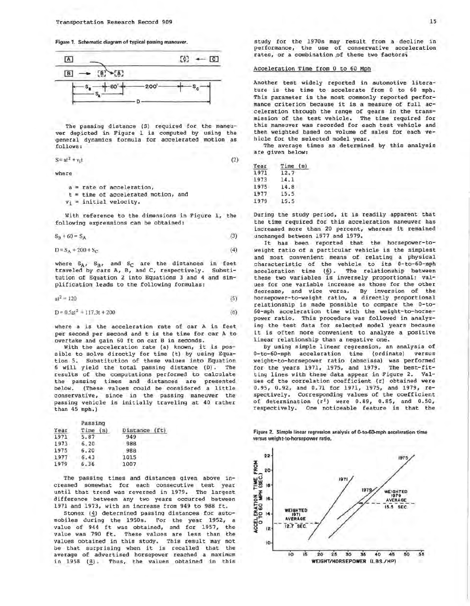Figure 1. Schematic diagram of typical passing maneuver.



The passing distance (S) required for the maneuver depicted in Figure 1 is computed by using the general dynamics formula for accelerated motion as follows:

$$
S = at^2 + v_1t \tag{2}
$$

where

a = rate of acceleration, t = time of accelerated motion, and

 $v_i$  = initial velocity.

With reference to the dimensions in Figure 1, the following expressions can be obtained:

$$
S_B + 60 = S_A \tag{3}
$$

 $D = S_A + 200 + S_C$ (4)

where  $S_A$ ,  $S_B$ , and  $S_C$  are the distances in feet traveled by cars A, B, and c, respectively. Substitution of Equation 2 into Equations 3 and **<sup>4</sup>** and sim plification leads to the following formulas:

$$
at^2 = 120 \tag{5}
$$

$$
D = 0.5a^{2} + 117.3t + 200
$$
 (6)

where a is the acceleration rate of car A in feet per second per second and tis the time for car A to overtake and gain 60 ft on car Bin seconds.

With the acceleration rate (a) known, it is possible to solve directly for time (t) by using Equation 5. Substitution of these values into Equation 6 will yield the total passing distance (D). The results of the computations performed to calculate the passing times and distances are presented below. (These values could be considered a little conservative, since in the passing maneuver the passing vehicle is initially traveling at 40 rather than 45 mph.)

| Year | Passing<br>Time (s) | Distance (ft) |
|------|---------------------|---------------|
| 1971 | 5.87                | 949           |
| 1973 | 6.20                | 988           |
| 1975 | 6.20                | 988           |
| 1977 | 6.43                | 1015          |
| 1979 | 6.36                | 1007          |

The passing times and distances given above increased somewhat for each consecutive test year until that trend was reversed in 1979. The largest difference between any two years occurred between 1971 and 1973, with an increase from 949 to 988 ft.

Stonex (4) determined passing distances for automobiles during the 1950s. For the year 1952, a value of 944 ft was obtained, and for 1957, the value was 790 ft. These values are less than the values obtained in this study. This result may not be that surprising when it is recalled that the average of advertised horsepower reached a maximum in 1958 (8). Thus, the values obtained in this

study for the 1970s may result from a decline in performance, the use of conservative acceleration rates, or a combination of these two factors;

#### Acceleration Time from 0 to 60 Mph

Another test widely reported in automotive literature is the time to accelerate from O to 60 mph. This parameter is the most commonly reported performance criterion because it is a measure of full acceleration through the range of gears in the transmission of the test vehicle. The time required for this maneuver was recorded for each test vehicle and then weighted based on volume of sales for each vehicle for the selected model year.

The average times as determined by this analysis are given below:

| Year | Time (s) |  |
|------|----------|--|
| 1971 | 12.7     |  |
| 1973 | 14.1     |  |
| 1975 | 14.8     |  |
| 1977 | 15.5     |  |
| 1979 | 15.5     |  |

During the study period, it is readily apparent that the time required for this acceleration maneuver has increased more than 20 percent, whereas it remained unchanged between 1977 and 1979.

It has been reported that the horsepower-toweight ratio of a particular vehicle is the simplest and most convenient means of relating a physical characteristic of the vehicle to its 0-to-60-mph acceleration time (6). The relationship between these two variables is inversely proportional; values for one variable increase as those for the other decrease, and vice versa. By inversion of the horsepower-to-weight ratio, a directly proportional relationship is made possible to compare the O-to-60-mph acceleration time with the weight-to-horsepower ratio. This procedure was followed in analyzing the test data for selected model years because it is often more convenient to analyze a positive linear relationship than a negative one.

By using simple linear regression, an analysis of 0-to-60-mph acceleration time (ordinate) versus weight-to-horsepower ratio (abscissa) was performed for the years 1971, 1975, and 1979. The best-fitting lines with these data appear in Figure 2. Values of the correlation coefficient (r) obtained were 0.95, 0.92, and 0.71 for 1971, 1975, and 1979, respectively. Corresponding values of the coefficient of determination  $(r^2)$  were 0.89, 0.85, and 0.50, respectively. One noticeable feature is that the

Figure 2. Simple linear regression analysis of O-to-60.mph acceleration time versus weight-to-horsepower ratio.

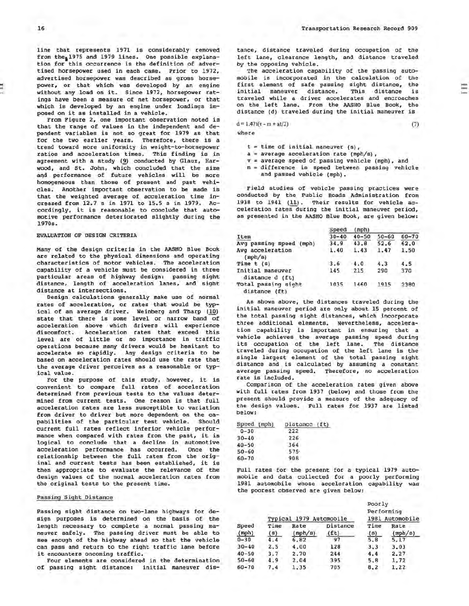. ..

line that represents 1971 is considerably removed from the 1975 and 1979 lines. One possible explanation for this occurrence is the definition of advertised horsepower used in each case. Prior to 1972, advertised horsepower was described as gross horsepower, or that which was developed by an engine without any load on it. Since 1972, horsepower ratings have been a measure of net horsepower, or that which is developed by an engine under loadings imposed on it as installed in a vehicle.

From Figure 2, one important observation noted is that the range of values in the independent and dependent variables is not so great for 1979 as that for the two earlier years. Therefore, there is a trend toward more uniformity in weight-to-horsepower ratios and acceleration times. This finding is in agreement with a study (9) conducted by Glauz, Harwood, and St. John, which concluded that the size and performance of future vehicles will be more homogeneous than those of present and past vehicles. Another important observation to be made is that the weighted average of acceleration time increased from 12.7 s in 1971 to 15.5 sin 1979. Accordingly, it is reasonable to conclude that automotive performance deteriorated slightly during the 1970s.

# EVALUATION OF DESIGN CRITERIA

Many of the design criteria in the AASHO Blue Book are related to the physical dimensions and operating characteristics of motor vehicles. The acceleration capability of a vehicle must be considered in three particular areas of highway design: passing sight distance, length of acceleration lanes, and sight distance at intersections.

Design calculations generally make use of normal rates of acceleration, or rates that would be typical of an average driver. Weinberg and Tharp (10) state that there is some level or narrow band of acceleration above which drivers will experience discomfort. Acceleration rates that exceed this level are of little or no importance in traffic operations because many drivers would be hesitant to accelerate so rapidly. Any design criteria to be based on acceleration rates should use the rate that the average driver perceives as a reasonable or typical value.

For the purpose of this study, however, it is convenient to compare full rates of acceleration determined from previous tests to the values determined from current tests. One reason is that full acceleration rates are less susceptible to variation from driver to driver but more dependent on the capabilities of the particular test vehicle. Should current full rates reflect inferior vehicle performance when compared with rates from the past, it is logical to conclude that a decline in automotive acceleration performance has occurred. Once the relationship between the full rates from the original and current tests has been established, it is then appropriate to evaluate the relevance of the design values of the normal acceleration rates from the original tests to the present time.

#### Passing Sigbt. Distance

Passing sight distance on two-lane highways for design purposes is determined on the basis of the length necessary to complete a normal passing maneuver safely, The passing driver must be able to see enough of the highway ahead so that the vehicle can pass and return to the right traffic lane before it encounters oncoming traffic.

Four elements are considered in the determination of passing sight distance: initial maneuver distance, distance traveled during occupation of the left lane, clearance length, and distance traveled by the opposing vehicle,

The acceleration capability of the passing automobile is incorporated in the calculation of the first element of safe passing sight distance, the<br>initial maneuver distance. This distance is initial maneuver distance. traveled while a driver accelerates and encroaches on the left lane, From the AASHO Blue Book, the distance (d) traveled during the initial maneuver is

 $d = 1.47t(v - m + at/2)$ 

where

 $t =$  time of initial maneuver (s),

- $a = average acceleration rate (mph/s)$ ,
- $v = average speed of passing vehicle (mph)$ , and
- $m = difference$  in speed between passing vehicle and passed vehicle {mph),

Field studies of vehicle passing practices were conducted by the Public Roads Administration from 1938 to 1941 (11). Their results for vehicle acceleration rates during the initial maneuver period, as presented in the AASHO Blue Book, are given below:

|                                      | Speed     | (mph)     |           |           |
|--------------------------------------|-----------|-----------|-----------|-----------|
| Item                                 | $30 - 40$ | $40 - 50$ | $50 - 60$ | $60 - 70$ |
| Avg passing speed<br>(moh)           | 34.9      | 43.8      | 52.6      | 62.0      |
| Avg acceleration<br>(mph/s)          | 1.40      | 1.43      | 1.47      | 1.50      |
| Time $t$ (s)                         | 3.6       | 4.0       | 4.3       | 4.5       |
| Initial maneuver<br>distance d (ft)  | 145       | 215       | 290       | 370       |
| Total passing sight<br>distance (ft) | 1035      | 1460      | 1915      | 3380      |

As shown above, the distances traveled during the initial maneuver period are only about 15 percent of the total passing sight distances, which incorporate three additional elements. Nevertheless, acceleration capability is important in ensuring that a vehicle achieves the average passing speed during its occupation of the left lane. The distance traveled during occupation of the left lane is the single largest element of the total passing sight distance and is calculated by assuming a constant average passing speed. Therefore, no acceleration rate is included.

Comparison of the acceleration rates given above with full rates from 1937 (below) and those from the present should provide a measure of the adequacy of the design values. Full rates for 1937 are listed below:

| Speed (mph) | Distance (ft) |
|-------------|---------------|
| $0 - 30$    | 222           |
| $30 - 40$   | 226           |
| $40 - 50$   | 364           |
| $50 - 60$   | 575           |
| $60 - 70$   | 908           |

Full rates for the present for a typical 1979 automobile and data collected for a poorly performing 1981 automobile whose acceleration capability was the poorest observed are given below:

|           | Typical 1979 Automobile |         |          | Poorly<br>Performing<br>1981 Automobile |         |
|-----------|-------------------------|---------|----------|-----------------------------------------|---------|
| Speed     | Time                    | Rate    | Distance | Time                                    | Rate    |
| (mph)     | (s)                     | (mph/s) | (ft)     | (s)                                     | (mph/s) |
| $0 - 30$  | 4.4                     | 6.82    | 97       | 5.8                                     | 5.17    |
| $30 - 40$ | 2.5                     | 4.00    | 128      | 3, 3                                    | 3.03    |
| $40 - 50$ | 3.7                     | 2.70    | 244      | 4.4                                     | 2.27    |
| $50 - 60$ | 4.9                     | 2.04    | 395      | 5.8                                     | 1.72    |
| $60 - 70$ | 7.4                     | 1.35    | 705      | 8.2                                     | 1.22    |

(7)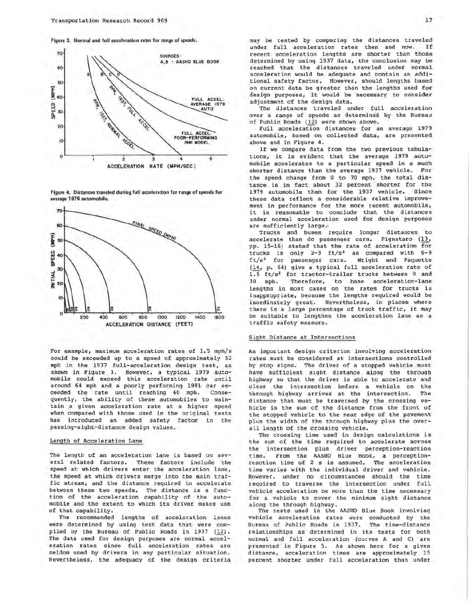Figure 3. Normal and full acceleration rates for range of speeds.



Figure 4. Distances traveled during full acceleration for range of speeds for average 1979 automobile.



For example, maximum acceleration rates of 1.5 mph/s could be exceeded up to a speed of approximately 52 mph in the 1937 full-acceleration design test, as shown in Figure 3. However, a typical 1979 automobile could exceed this acceleration rate until around 64 mph and a poorly performing 1981 car exceeded the rate until reaching 60 mph. Consequently, the ability of these automobiles to maintain a given acceleration rate at a higher speed when compared with those used in the original tests<br>has introduced an added safety factor in the introduced an added safety factor in the passing-sight-distance design values.

# Length of Acceleration Lane

The length of an acceleration lane is based on several related factors. These factors include the speed at which drivers enter the acceleration lane, the speed at which drivers merge into the main traffic stream, and the distance required to accelerate between these two speeds. The distance is a function of the acceleration capability of the automobile and the extent to which its driver makes use of that capability.

The recommended lengths of acceleration lanes were determined by using test data that were compiled by the Bureau of Public Roads in 1937 (12). The data used for design purposes are normal acceleration rates since full acceleration rates are seldom used by drivers in any particular situation. Nevertheless, the adequacy of the design criteria may be tested by comparing the distances traveled<br>under full acceleration rates then and now. If under full acceleration rates then and now. recent acceleration lengths are shorter than those determined by using 1937 data, the conclusion may be reached that the distances traveled under normal acceleration would be adequate and contain an additional safety factor. However, should lengths based on current data be greater than the lengths used for design purposes, it would be necessary to consider adjustment of the design data.

The distances traveled under full acceleration over a range of speeds as determined by the Bureau of Public Roads (12) were shown above.

Full acceleration distances for an average 1979 automobile, based on collected data, are presented above and in Figure 4.

If we compare data from the two previous tabulations, it is evident that the average 1979 automobile accelerates to a particular speed in a much shorter distance than the average 1937 vehicle. For the speed change from O to 70 mph, the total distance is in fact about 32 percent shorter for the 1979 automobile than for the 1937 vehicle. Since these data reflect a considerable relative improvement in performance for the more recent automobile, it is reasonable to conclude that the distances under normal acceleration used for design purposes are sufficiently large~

Trucks and buses require longer distances to accelerate than do passenger cars. Pignataro (13, pp. 15-16) stated that the rate of acceleration for trucks is only 2-3 ft/s<sup>2</sup> as compared with 6-9<br>ft/s<sup>2</sup> for passenger cars. Wright and Paquette  $ft/s<sup>2</sup>$  for passenger cars. (14, p. 64) give a typical full acceleration rate of  $1.5 \text{ ft/s}^2$  for tractor-trailer trucks between 0 and<br>30 mph. Therefore, to base acceleration-lane Therefore, to base acceleration-lane lengths in most cases on the rates for trucks is inappropriate, because the lengths required would be inordinately great. Nevertheless, in places where there is a large percentage of truck traffic, it may be suitable to lengthen the acceleration lane as a traffic safety measure.

#### Sight Distance at Intersections

An important design criterion involving acceleration rates must be considered at intersections controlled by stop signs. The driver of a stopped vehicle must have sufficient sight distance along the through highway so that the driver is able to accelerate and clear the intersection before a vehicle on the through highway arrives at the intersection. The distance that must be traversed by the crossing vehicle is the sum of the distance from the front of the stopped vehicle to the near edge of the pavement plus the width of the through highway plus the over<sup>a</sup> ll length of the crossing vehicle.

The crossing time used in design calculations is the sum of the time required to accelerate across the intersection plus driver perception-reaction time. From the AASHO Blue Book, a perceptionreaction time of 2 s is assumed. The acceleration time varies with the individual driver and vehicle. However, under no circumstances should the time required to traverse the intersection under full vehicle acceleration be more than the time necessary for a vehicle to cover the minimum sight distance along the through highway.

The tests used in the AASHO Blue Book involving vehicle acceleration rates were conducted by the Bureau of Public Roads in 1937. The time-distance relationships as determined in its tests for both normal and full acce leration (curves A and C) are presented in Figure 5. As shown here for a given distance, acceleration times are approximately 15 percent shorter under full acceleration than under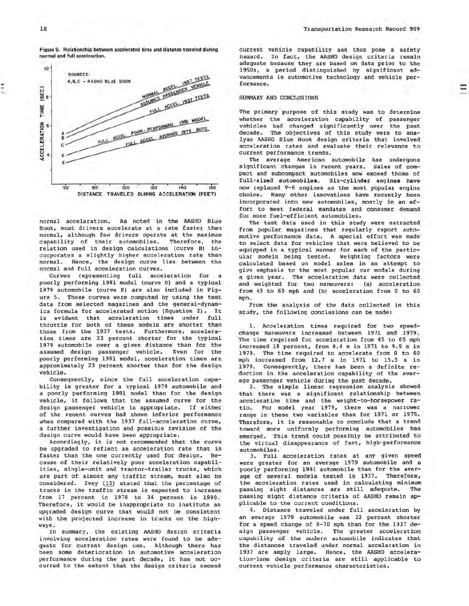18

. ..

Figure 5. Relationship between accelerated time and distance traveled during normal and full acceleration.



normal acceleration. As noted in the AASHO Blue Book, most drivers accelerate at a rate faster than normal, although few drivers operate at the maximum capability of their automobiles. Therefore, the relation used in design calculations (curve B) incorporates a slightly higher acceleration rate than normal. Hence, the design curve lies between the normal and full acceleration curves.

Curves representing full acceleration for a poorly performing 1981 model (curve D) and a typical 1979 automobile (curve E) are also included in Figure 5. These curves were computed by using the test data from selected magazines and the general-dynamics formula for accelerated motion (Equation 2). It is evident that acceleration times under full throttle for both of these models are shorter than those from the 1937 tests. Furthermore, acceleration times are 33 percent shorter for the typical 1979 automobile over a given distance than for the assumed design passenger vehicle. Even for the poorly performing 1981 model, acceleration times are approximately 23 percent shorter than for the design vehicle.

Consequently, since the full acceleration capability is greater for a typical 1979 automobile and a poorly performing 1981 model than for the design vehicle, it follows that the assumed curve for the design passenger vehicle is appropriate. If either of the recent curves had shown inferior performance when compared with the 1937 full-acceleration curve, a further investigation and possible revision of the design curve would have been appropriate.

Accordingly, it is not recommended that the curve be upgraded to reflect an acceleration rate that is faster than the one currently used for design. Because of their relatively poor acceleration capabilities, single-unit and tractor-trailer trucks, which are part of almost any traffic stream, must also be considered. Ivey (15) stated that the percentage of trucks in the traffic stream is expected to increase from 17 percent in 1978 to 34 percent in 1990. Therefore, it would be inappropriate to institute an upgraded design curve that would not be consistent with the projected increase in trucks on the highways.

In summary, the existing AASHO design criteria involving acceleration rates were found to be adequate for current design use. Although there has been some deterioration in automotive acceleration performance during the past decade, it has not occurred to the extent that the design criteria exceed

Ξ

current vehicle capability and thus pose a safety hazard. In fact, the AASHO design criteria remain adequate because they are based on data prior to the 1950s, a period distinguished by significant advancements in automotive technology and vehicle performance •

#### SUMMARY AND CONCLUSIONS

The primary purpose of this study was to determine whether the acceleration capability of passenger vehicles had changed significantly over the past decade. The objectives of this study were to analyze AASHO Blue Book design criteria that involved acceleration rates and evaluate their relevance to current performance trends.

The average American automobile has undergone significant changes in recent years. Sales of compact and subcompact automobiles now exceed those of full-sized automobiles. Six-cylinder **engines have**  now replaced V-8 engines as the most popular engine choice. Many other innovations have recently been incorporated into new automobiles, mostly in an effort to meet federal mandates and consumer demand for more fuel-efficient automobiles.

The test data used in this study **were** extracted from popular magazines that regularly report automotive performance data. A special effort was made to select data for vehicles that were believed to be equipped in a typical manner for each of the particular models being tested. Weighting factors were calculated based on model sales in an attempt to give emphasis to the most popular car models during a given year. The acceleration data were collected and weighted for two maneuvers: (a) acceleration from 45 to 65 mph and (b) acceleration from O to 60 mph.

From the analysis of the data collected in this study, the following conclusions can be made:

1. Acceleration times required for two speedchange maneuvers increased between 1971 and 1979. The time required for acceleration from 45 to 65 mph increased 18 percent, from 8.4 sin 1971 to 9.9 sin 1979. The time required to accelerate from O to 60 mph increased from 12.7 s in 1971 to 15.5 s in 1979. Consequently, there has been a definite reduction in the acceleration capability\_ of the average passenger vehicle during the past decade.

2. The simple linear regression analysis showed that there was a significant relationship between acceleration time and the weight-to-horsepower ratio. For model year 1979, there was a narrower range in these two variables than for 1971 or 1975. Therefore, it is reasonable to conclude that a trend toward more uniformly performing automobiles has emerged. This trend could possibly be attributed to the virtual disappearance of fast, high-performance automobiles.

3. Full acceleration rates at any given speed were greater for an average 1979 automobile and a poorly performing 1981 automobile than for the **aver**age of several models tested in 1937. Therefore, the acceleration rates used in calculating minimum<br>passing sight distances are still adequate. The passing sight distances are still adequate. passing sight distance criteria of AASHO remain applicable to the current conditions.

4. Distance traveled under full acceleration by an average 1979 automobile was 32 percent shorter for a speed change of 0-70 mph than for the 1937 design passenger vehicle. The greater acceleration capability of the modern automobile indicates that the distances traveled under normal acceleration in 1937 are amply large. Hence, the AASHO acceleration-lane design criteria are still applicable to current vehicle performance characteristics.